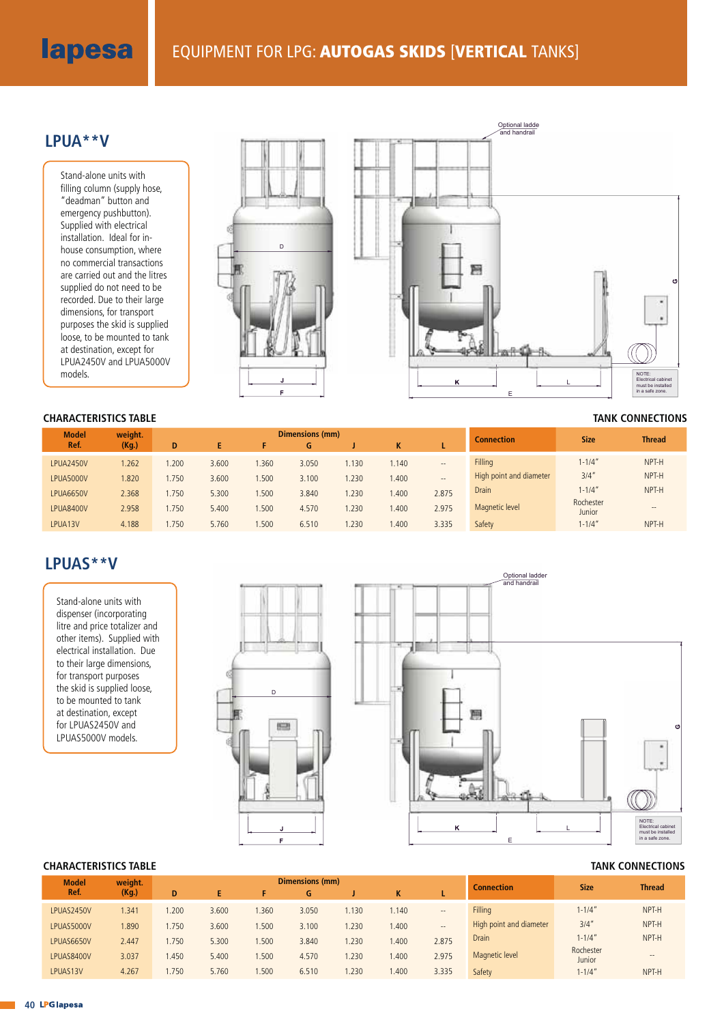# lapesa

## **LPUA\*\*V**

Stand-alone units with filling column (supply hose, "deadman" button and emergency pushbutton). Supplied with electrical installation. Ideal for inhouse consumption, where no commercial transactions are carried out and the litres supplied do not need to be recorded. Due to their large dimensions, for transport purposes the skid is supplied loose, to be mounted to tank at destination, except for LPUA2450V and LPUA5000V models.



#### **CHARACTERISTICS TABLE TANK CONNECTIONS**

| <b>Model</b>     | weight. | <b>Dimensions (mm)</b> |       |       |       |       |       |               | <b>Connection</b>       | <b>Size</b>         | <b>Thread</b>     |
|------------------|---------|------------------------|-------|-------|-------|-------|-------|---------------|-------------------------|---------------------|-------------------|
| Ref.             | (Kg.)   | D                      |       |       | G     |       | v     |               |                         |                     |                   |
| <b>LPUA2450V</b> | 1.262   | .200                   | 3.600 | 1.360 | 3.050 | 1.130 | .140  | $\frac{1}{2}$ | Filling                 | $1 - 1/4"$          | NPT-H             |
| LPUA5000V        | 1.820   | .750                   | 3.600 | .500  | 3.100 | .230  | 1.400 | $- -$         | High point and diameter | 3/4''               | NPT-H             |
| LPUA6650V        | 2.368   | .750                   | 5.300 | 1.500 | 3.840 | 1.230 | .400  | 2.875         | <b>Drain</b>            | $1 - 1/4"$          | NPT-H             |
| <b>LPUA8400V</b> | 2.958   | 1.750                  | 5.400 | 1.500 | 4.570 | 1.230 | .400  | 2.975         | Magnetic level          | Rochester<br>Junior | $\qquad \qquad -$ |
| LPUA13V          | 4.188   | 1.750                  | 5.760 | 1.500 | 6.510 | 1.230 | 1.400 | 3.335         | Safety                  | $1 - 1/4"$          | NPT-H             |

# **LPUAS\*\*V**

Stand-alone units with dispenser (incorporating litre and price totalizer and other items). Supplied with electrical installation. Due to their large dimensions, for transport purposes the skid is supplied loose, to be mounted to tank at destination, except for LPUAS2450V and LPUAS5000V models.





### **CHARACTERISTICS TABLE TANK CONNECTIONS**

| <b>Model</b> | weight.<br>(Kg.) | Dimensions (mm) |       |       |       |      |       |                          |                         | <b>Size</b>         | <b>Thread</b>     |
|--------------|------------------|-----------------|-------|-------|-------|------|-------|--------------------------|-------------------------|---------------------|-------------------|
| Ref.         |                  | D               | E     |       | G     |      | K     |                          | <b>Connection</b>       |                     |                   |
| LPUAS2450V   | 1.341            | 1.200           | 3.600 | .360  | 3.050 | .130 | 1.140 | $\overline{\phantom{a}}$ | Filling                 | $1 - 1/4''$         | NPT-H             |
| LPUAS5000V   | .890             | 1.750           | 3.600 | 1.500 | 3.100 | .230 | .400  | $\overline{\phantom{a}}$ | High point and diameter | 3/4''               | NPT-H             |
| LPUAS6650V   | 2.447            | 1.750           | 5.300 | 1.500 | 3.840 | .230 | .400  | 2.875                    | <b>Drain</b>            | $1 - 1/4"$          | NPT-H             |
| LPUAS8400V   | 3.037            | 1.450           | 5.400 | 1.500 | 4.570 | .230 | .400  | 2.975                    | Magnetic level          | Rochester<br>Junior | $\qquad \qquad -$ |
| LPUAS13V     | 4.267            | 1.750           | 5.760 | 1.500 | 6.510 | .230 | 1.400 | 3.335                    | Safety                  | $1 - 1/4"$          | NPT-H             |

 $\mathcal{L}(\mathcal{A})$